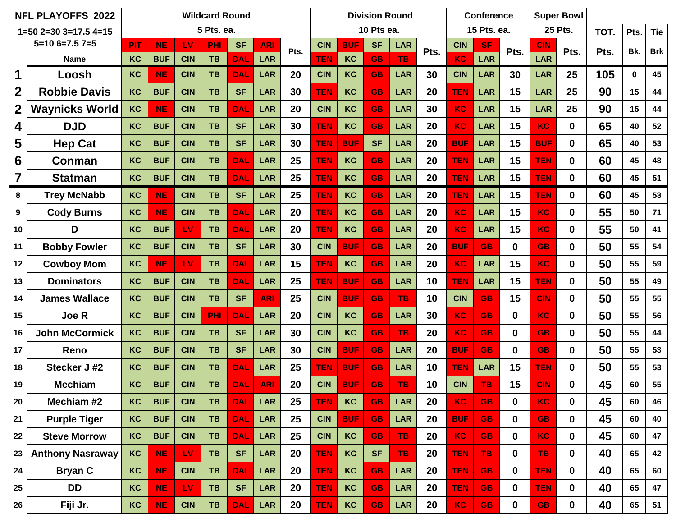|                  | <b>NFL PLAYOFFS 2022</b> |            |            |            | <b>Wildcard Round</b> |            |                    |    |            |            | <b>Division Round</b> |            |      |            | <b>Conference</b> |              |            | <b>Super Bowl</b> |      |      |            |
|------------------|--------------------------|------------|------------|------------|-----------------------|------------|--------------------|----|------------|------------|-----------------------|------------|------|------------|-------------------|--------------|------------|-------------------|------|------|------------|
|                  | $1=50$ 2=30 3=17.5 4=15  | 5 Pts. ea. |            |            |                       |            |                    |    |            |            | 10 Pts ea.            |            |      |            | 15 Pts. ea.       |              |            | <b>25 Pts.</b>    | TOT. | Pts. | <b>Tie</b> |
|                  | $5=106=7.57=5$           | <b>PIT</b> | <b>NE</b>  | LV         | PHI                   | <b>SF</b>  | <b>ARI</b><br>Pts. |    | <b>CIN</b> | <b>BUF</b> | <b>SF</b>             | <b>LAR</b> |      | <b>CIN</b> | <b>SF</b>         | Pts.         | <b>CIN</b> | Pts.              | Pts. | Bk.  | <b>Brk</b> |
|                  | <b>Name</b>              | KC         | <b>BUF</b> | <b>CIN</b> | <b>TB</b>             | <b>DAL</b> | <b>LAR</b>         |    | <b>TEN</b> | KC         | <b>GB</b>             | <b>TB</b>  | Pts. | KC         | LAR               |              | <b>LAR</b> |                   |      |      |            |
| 1                | Loosh                    | KC         | <b>NE</b>  | <b>CIN</b> | <b>TB</b>             | <b>DAL</b> | LAR                | 20 | <b>CIN</b> | KC         | <b>GB</b>             | <b>LAR</b> | 30   | <b>CIN</b> | <b>LAR</b>        | 30           | LAR        | 25                | 105  | 0    | 45         |
| $\overline{2}$   | <b>Robbie Davis</b>      | KC         | <b>BUF</b> | <b>CIN</b> | <b>TB</b>             | <b>SF</b>  | <b>LAR</b>         | 30 | <b>TEN</b> | KC         | <b>GB</b>             | <b>LAR</b> | 20   | <b>TEN</b> | <b>LAR</b>        | 15           | <b>LAR</b> | 25                | 90   | 15   | 44         |
| $\boldsymbol{2}$ | <b>Waynicks World</b>    | KC         | <b>NE</b>  | <b>CIN</b> | <b>TB</b>             | <b>DAL</b> | <b>LAR</b>         | 20 | <b>CIN</b> | KC         | <b>GB</b>             | LAR        | 30   | <b>KC</b>  | <b>LAR</b>        | 15           | LAR        | 25                | 90   | 15   | 44         |
| 4                | <b>DJD</b>               | KC         | <b>BUF</b> | <b>CIN</b> | <b>TB</b>             | <b>SF</b>  | LAR                | 30 | <b>TEN</b> | KC         | <b>GB</b>             | <b>LAR</b> | 20   | <b>KC</b>  | LAR               | 15           | <b>KC</b>  | $\mathbf 0$       | 65   | 40   | 52         |
| 5                | <b>Hep Cat</b>           | KC         | <b>BUF</b> | <b>CIN</b> | <b>TB</b>             | <b>SF</b>  | <b>LAR</b>         | 30 | <b>TEN</b> | <b>BUF</b> | <b>SF</b>             | LAR        | 20   | <b>BUF</b> | LAR               | 15           | <b>BUF</b> | $\mathbf 0$       | 65   | 40   | 53         |
| 6                | Conman                   | KC         | <b>BUF</b> | <b>CIN</b> | <b>TB</b>             | <b>DAL</b> | <b>LAR</b>         | 25 | <b>TEN</b> | KC         | <b>GB</b>             | LAR        | 20   | <b>TEN</b> | <b>LAR</b>        | 15           | <b>TEN</b> | $\mathbf{0}$      | 60   | 45   | 48         |
| 7                | <b>Statman</b>           | KC         | <b>BUF</b> | <b>CIN</b> | <b>TB</b>             | <b>DAL</b> | <b>LAR</b>         | 25 | <b>TEN</b> | KC         | <b>GB</b>             | LAR        | 20   | <b>TEN</b> | LAR               | 15           | <b>TEN</b> | $\bf{0}$          | 60   | 45   | 51         |
| 8                | <b>Trey McNabb</b>       | KC         | <b>NE</b>  | <b>CIN</b> | <b>TB</b>             | <b>SF</b>  | LAR                | 25 | <b>TEN</b> | KC         | <b>GB</b>             | LAR        | 20   | <b>TEN</b> | LAR               | 15           | <b>TEN</b> | $\mathbf 0$       | 60   | 45   | 53         |
| 9                | <b>Cody Burns</b>        | KC         | <b>NE</b>  | <b>CIN</b> | <b>TB</b>             | <b>DAL</b> | <b>LAR</b>         | 20 | <b>TEN</b> | KC         | <b>GB</b>             | LAR        | 20   | <b>KC</b>  | <b>LAR</b>        | 15           | KC         | $\mathbf{0}$      | 55   | 50   | $71$       |
| 10               | D                        | KC         | <b>BUF</b> | LV         | <b>TB</b>             | <b>DAL</b> | <b>LAR</b>         | 20 | <b>TEN</b> | KC         | <b>GB</b>             | LAR        | 20   | <b>KC</b>  | LAR               | 15           | <b>KC</b>  | $\bf{0}$          | 55   | 50   | 41         |
| 11               | <b>Bobby Fowler</b>      | KC         | <b>BUF</b> | <b>CIN</b> | <b>TB</b>             | <b>SF</b>  | <b>LAR</b>         | 30 | <b>CIN</b> | <b>BUF</b> | <b>GB</b>             | LAR        | 20   | <b>BUF</b> | <b>GB</b>         | $\bf{0}$     | <b>GB</b>  | $\mathbf 0$       | 50   | 55   | 54         |
| 12               | <b>Cowboy Mom</b>        | KC         | <b>NE</b>  | <b>LV</b>  | <b>TB</b>             | <b>DAL</b> | <b>LAR</b>         | 15 | <b>TEN</b> | KC         | <b>GB</b>             | <b>LAR</b> | 20   | KC         | <b>LAR</b>        | 15           | KC         | $\mathbf{0}$      | 50   | 55   | 59         |
| 13               | <b>Dominators</b>        | KC         | <b>BUF</b> | <b>CIN</b> | <b>TB</b>             | <b>DAL</b> | <b>LAR</b>         | 25 | <b>TEN</b> | <b>BUF</b> | <b>GB</b>             | LAR        | 10   | <b>TEN</b> | <b>LAR</b>        | 15           | <b>TEN</b> | $\mathbf 0$       | 50   | 55   | 49         |
| 14               | <b>James Wallace</b>     | KC         | <b>BUF</b> | <b>CIN</b> | <b>TB</b>             | <b>SF</b>  | <b>ARI</b>         | 25 | <b>CIN</b> | <b>BUF</b> | <b>GB</b>             | <b>TB</b>  | 10   | <b>CIN</b> | <b>GB</b>         | 15           | <b>CIN</b> | $\mathbf{0}$      | 50   | 55   | 55         |
| 15               | <b>Joe R</b>             | KC         | <b>BUF</b> | <b>CIN</b> | PHI                   | <b>DAL</b> | <b>LAR</b>         | 20 | <b>CIN</b> | KC         | <b>GB</b>             | LAR        | 30   | KC         | <b>GB</b>         | $\mathbf{0}$ | <b>KC</b>  | $\mathbf{0}$      | 50   | 55   | 56         |
| 16               | <b>John McCormick</b>    | KC         | <b>BUF</b> | <b>CIN</b> | <b>TB</b>             | <b>SF</b>  | LAR                | 30 | <b>CIN</b> | KC         | <b>GB</b>             | <b>TB</b>  | 20   | KC         | <b>GB</b>         | $\bf{0}$     | <b>GB</b>  | $\mathbf 0$       | 50   | 55   | 44         |
| 17               | Reno                     | KC         | <b>BUF</b> | <b>CIN</b> | <b>TB</b>             | <b>SF</b>  | <b>LAR</b>         | 30 | <b>CIN</b> | <b>BUF</b> | <b>GB</b>             | <b>LAR</b> | 20   | <b>BUF</b> | <b>GB</b>         | $\bf{0}$     | <b>GB</b>  | $\bf{0}$          | 50   | 55   | 53         |
| 18               | Stecker J #2             | KC         | <b>BUF</b> | <b>CIN</b> | <b>TB</b>             | <b>DAL</b> | <b>LAR</b>         | 25 | <b>TEN</b> | <b>BUF</b> | <b>GB</b>             | <b>LAR</b> | 10   | <b>TEN</b> | <b>LAR</b>        | 15           | <b>TEN</b> | $\mathbf 0$       | 50   | 55   | 53         |
| 19               | <b>Mechiam</b>           | KC         | <b>BUF</b> | <b>CIN</b> | <b>TB</b>             | <b>DAL</b> | <b>ARI</b>         | 20 | <b>CIN</b> | <b>BUF</b> | <b>GB</b>             | <b>TB</b>  | 10   | <b>CIN</b> | TB                | 15           | <b>CIN</b> | $\mathbf 0$       | 45   | 60   | 55         |
| 20               | Mechiam #2               | KC         | <b>BUF</b> | <b>CIN</b> | <b>TB</b>             | <b>DAL</b> | <b>LAR</b>         | 25 | <b>TEN</b> | KC         | <b>GB</b>             | <b>LAR</b> | 20   | KC         | <b>GB</b>         | $\mathbf 0$  | <b>KC</b>  | $\mathbf 0$       | 45   | 60   | 46         |
| 21               | <b>Purple Tiger</b>      | KC         | <b>BUF</b> | <b>CIN</b> | <b>TB</b>             | <b>DAL</b> | <b>LAR</b>         | 25 | <b>CIN</b> | <b>BUF</b> | <b>GB</b>             | <b>LAR</b> | 20   | <b>BUF</b> | <b>GB</b>         | $\mathbf 0$  | <b>GB</b>  | $\mathbf 0$       | 45   | 60   | 40         |
| 22               | <b>Steve Morrow</b>      | KC         | <b>BUF</b> | <b>CIN</b> | <b>TB</b>             | <b>DAL</b> | <b>LAR</b>         | 25 | <b>CIN</b> | KC         | <b>GB</b>             | <b>TB</b>  | 20   | <b>KC</b>  | <b>GB</b>         | $\mathbf 0$  | <b>KC</b>  | $\mathbf 0$       | 45   | 60   | 47         |
| 23               | <b>Anthony Nasraway</b>  | KC         | <b>NE</b>  | LV.        | TB                    | <b>SF</b>  | <b>LAR</b>         | 20 | <b>TEN</b> | KC         | <b>SF</b>             | <b>TB</b>  | 20   | <b>TEN</b> | <b>TB</b>         | $\mathbf 0$  | <b>TB</b>  | $\mathbf 0$       | 40   | 65   | 42         |
| 24               | <b>Bryan C</b>           | KC         | <b>NE</b>  | <b>CIN</b> | <b>TB</b>             | <b>DAL</b> | <b>LAR</b>         | 20 | <b>TEN</b> | KC         | <b>GB</b>             | <b>LAR</b> | 20   | <b>TEN</b> | <b>GB</b>         | $\mathbf 0$  | <b>TEN</b> | $\mathbf 0$       | 40   | 65   | 60         |
| 25               | <b>DD</b>                | KC         | <b>NE</b>  | LV         | <b>TB</b>             | <b>SF</b>  | <b>LAR</b>         | 20 | <b>TEN</b> | KC         | <b>GB</b>             | <b>LAR</b> | 20   | <b>TEN</b> | <b>GB</b>         | $\mathbf 0$  | <b>TEN</b> | $\mathbf 0$       | 40   | 65   | 47         |
| 26               | Fiji Jr.                 | KC         | <b>NE</b>  | <b>CIN</b> | TB                    | <b>DAL</b> | LAR                | 20 | <b>TEN</b> | KC         | <b>GB</b>             | LAR        | 20   | <b>KC</b>  | <b>GB</b>         | $\mathbf 0$  | <b>GB</b>  | $\mathbf 0$       | 40   | 65   | 51         |

 $\overline{\phantom{a}}$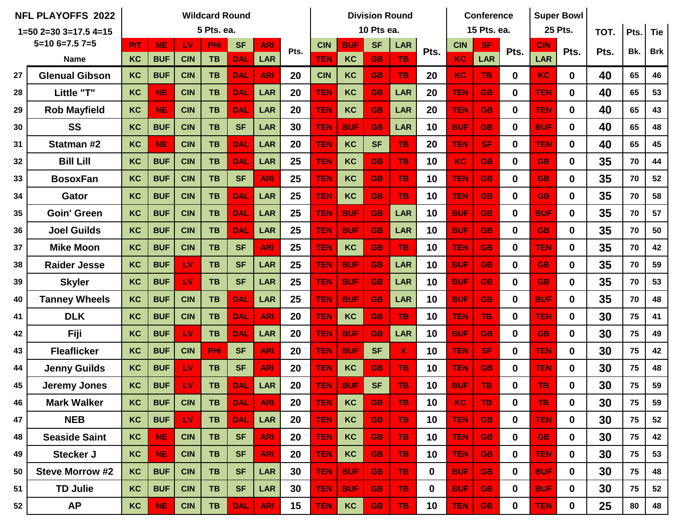|                | <b>NFL PLAYOFFS 2022</b> |                         |            |            | <b>Wildcard Round</b> |            |            |      |            |            | <b>Division Round</b> |                           |             |            | <b>Conference</b> |             | <b>Super Bowl</b> |                |      |      |            |
|----------------|--------------------------|-------------------------|------------|------------|-----------------------|------------|------------|------|------------|------------|-----------------------|---------------------------|-------------|------------|-------------------|-------------|-------------------|----------------|------|------|------------|
|                | $1=50$ 2=30 3=17.5 4=15  | 5 Pts. ea.              |            |            |                       |            |            |      |            |            | 10 Pts ea.            |                           |             |            | 15 Pts. ea.       |             |                   | <b>25 Pts.</b> | TOT. | Pts. | <b>Tie</b> |
| $5=106=7.57=5$ |                          | <b>PIT</b><br><b>NE</b> |            | LV         | PHI                   | <b>SF</b>  | <b>ARI</b> | Pts. | <b>CIN</b> | <b>BUF</b> | <b>SF</b>             | <b>LAR</b>                | Pts.        | <b>CIN</b> | <b>SF</b>         | Pts.        | <b>CIN</b>        | Pts.           | Pts. | Bk.  | <b>Brk</b> |
|                | <b>Name</b>              | KC                      | <b>BUF</b> | <b>CIN</b> | <b>TB</b>             | <b>DAL</b> | <b>LAR</b> |      | <b>TEN</b> | KC         | <b>GB</b>             | <b>TB</b>                 |             | KC         | <b>LAR</b>        |             | LAR               |                |      |      |            |
| 27             | <b>Glenual Gibson</b>    | <b>KC</b>               | <b>BUF</b> | <b>CIN</b> | <b>TB</b>             | <b>DAL</b> | <b>ARI</b> | 20   | <b>CIN</b> | KC         | <b>GB</b>             | <b>TB</b>                 | 20          | <b>KC</b>  | TB.               | $\mathbf 0$ | KC.               | $\mathbf 0$    | 40   | 65   | 46         |
| 28             | Little "T"               | KC                      | <b>NE</b>  | <b>CIN</b> | <b>TB</b>             | <b>DAL</b> | <b>LAR</b> | 20   | <b>TEN</b> | KC         | <b>GB</b>             | <b>LAR</b>                | 20          | <b>TEN</b> | <b>GB</b>         | $\mathbf 0$ | <b>TEN</b>        | $\mathbf 0$    | 40   | 65   | 53         |
| 29             | <b>Rob Mayfield</b>      | KC                      | <b>NE</b>  | <b>CIN</b> | <b>TB</b>             | <b>DAL</b> | <b>LAR</b> | 20   | <b>TEN</b> | KC         | <b>GB</b>             | <b>LAR</b>                | 20          | <b>TEN</b> | <b>GB</b>         | $\bf{0}$    | <b>TEN</b>        | $\mathbf 0$    | 40   | 65   | 43         |
| 30             | <b>SS</b>                | KC                      | <b>BUF</b> | <b>CIN</b> | <b>TB</b>             | <b>SF</b>  | <b>LAR</b> | 30   | <b>TEN</b> | <b>BUF</b> | <b>GB</b>             | <b>LAR</b>                | 10          | <b>BUF</b> | <b>GB</b>         | $\bf{0}$    | <b>BUF</b>        | $\mathbf{0}$   | 40   | 65   | 48         |
| 31             | Statman #2               | KC                      | <b>NE</b>  | <b>CIN</b> | <b>TB</b>             | <b>DAL</b> | <b>LAR</b> | 20   | <b>TEN</b> | KC         | <b>SF</b>             | <b>TB</b>                 | 20          | <b>TEN</b> | <b>SF</b>         | $\mathbf 0$ | <b>TEN</b>        | $\mathbf 0$    | 40   | 65   | 45         |
| 32             | <b>Bill Lill</b>         | KC                      | <b>BUF</b> | <b>CIN</b> | <b>TB</b>             | <b>DAL</b> | <b>LAR</b> | 25   | <b>TEN</b> | KC         | <b>GB</b>             | <b>TB</b>                 | 10          | <b>KC</b>  | <b>GB</b>         | $\mathbf 0$ | <b>GB</b>         | $\mathbf{0}$   | 35   | 70   | 44         |
| 33             | <b>BosoxFan</b>          | KC                      | <b>BUF</b> | <b>CIN</b> | <b>TB</b>             | <b>SF</b>  | <b>ARI</b> | 25   | <b>TEN</b> | KC         | <b>GB</b>             | <b>TB</b>                 | 10          | <b>TEN</b> | <b>GB</b>         | $\mathbf 0$ | <b>GB</b>         | $\mathbf 0$    | 35   | 70   | 52         |
| 34             | Gator                    | KC                      | <b>BUF</b> | <b>CIN</b> | <b>TB</b>             | <b>DAL</b> | <b>LAR</b> | 25   | <b>TEN</b> | KC         | <b>GB</b>             | <b>TB</b>                 | 10          | <b>TEN</b> | <b>GB</b>         | $\mathbf 0$ | <b>GB</b>         | $\mathbf 0$    | 35   | 70   | 58         |
| 35             | <b>Goin' Green</b>       | KC                      | <b>BUF</b> | <b>CIN</b> | <b>TB</b>             | <b>DAL</b> | <b>LAR</b> | 25   | <b>TEN</b> | <b>BUF</b> | <b>GB</b>             | <b>LAR</b>                | 10          | <b>BUF</b> | <b>GB</b>         | $\mathbf 0$ | <b>BUF</b>        | $\mathbf 0$    | 35   | 70   | 57         |
| 36             | <b>Joel Guilds</b>       | KC                      | <b>BUF</b> | <b>CIN</b> | <b>TB</b>             | <b>DAL</b> | <b>LAR</b> | 25   | <b>TEN</b> | <b>BUF</b> | <b>GB</b>             | <b>LAR</b>                | 10          | <b>BUF</b> | <b>GB</b>         | $\bf{0}$    | <b>GB</b>         | $\mathbf{0}$   | 35   | 70   | 50         |
| 37             | <b>Mike Moon</b>         | KC                      | <b>BUF</b> | <b>CIN</b> | <b>TB</b>             | <b>SF</b>  | <b>ARI</b> | 25   | <b>TEN</b> | KC         | <b>GB</b>             | <b>TB</b>                 | 10          | <b>TEN</b> | <b>GB</b>         | $\bf{0}$    | <b>TEN</b>        | $\mathbf 0$    | 35   | 70   | 42         |
| 38             | <b>Raider Jesse</b>      | KC                      | <b>BUF</b> | LV         | <b>TB</b>             | <b>SF</b>  | <b>LAR</b> | 25   | <b>TEN</b> | <b>BUF</b> | <b>GB</b>             | <b>LAR</b>                | 10          | <b>BUF</b> | <b>GB</b>         | $\mathbf 0$ | <b>GB</b>         | $\mathbf 0$    | 35   | 70   | 59         |
| 39             | <b>Skyler</b>            | KC                      | <b>BUF</b> | LV         | <b>TB</b>             | <b>SF</b>  | <b>LAR</b> | 25   | <b>TEN</b> | <b>BUF</b> | <b>GB</b>             | <b>LAR</b>                | 10          | <b>BUF</b> | <b>GB</b>         | $\mathbf 0$ | <b>GB</b>         | $\mathbf 0$    | 35   | 70   | 53         |
| 40             | <b>Tanney Wheels</b>     | KC                      | <b>BUF</b> | <b>CIN</b> | <b>TB</b>             | <b>DAL</b> | <b>LAR</b> | 25   | <b>TEN</b> | <b>BUF</b> | <b>GB</b>             | <b>LAR</b>                | 10          | <b>BUF</b> | <b>GB</b>         | $\bf{0}$    | <b>BUF</b>        | $\mathbf 0$    | 35   | 70   | 48         |
| 41             | <b>DLK</b>               | KC                      | <b>BUF</b> | <b>CIN</b> | <b>TB</b>             | <b>DAL</b> | <b>ARI</b> | 20   | <b>TEN</b> | KC         | <b>GB</b>             | TB.                       | 10          | <b>TEN</b> | TB.               | $\bf{0}$    | <b>TEN</b>        | $\mathbf 0$    | 30   | 75   | 41         |
| 42             | Fiji                     | KC                      | <b>BUF</b> | LV         | <b>TB</b>             | <b>DAL</b> | <b>LAR</b> | 20   | <b>TEN</b> | <b>BUF</b> | <b>GB</b>             | <b>LAR</b>                | 10          | <b>BUF</b> | <b>GB</b>         | $\mathbf 0$ | <b>GB</b>         | $\mathbf{0}$   | 30   | 75   | 49         |
| 43             | <b>Fleaflicker</b>       | KC                      | <b>BUF</b> | <b>CIN</b> | <b>PHI</b>            | <b>SF</b>  | <b>ARI</b> | 20   | <b>TEN</b> | <b>BUF</b> | <b>SF</b>             | $\boldsymbol{\mathsf{X}}$ | 10          | <b>TEN</b> | <b>SF</b>         | $\bf{0}$    | <b>TEN</b>        | $\mathbf 0$    | 30   | 75   | 42         |
| 44             | <b>Jenny Guilds</b>      | KC                      | <b>BUF</b> | LV         | <b>TB</b>             | <b>SF</b>  | <b>ARI</b> | 20   | <b>TEN</b> | KC         | <b>GB</b>             | <b>TB</b>                 | 10          | <b>TEN</b> | <b>GB</b>         | $\mathbf 0$ | <b>TEN</b>        | $\mathbf 0$    | 30   | 75   | 48         |
| 45             | <b>Jeremy Jones</b>      | KC                      | <b>BUF</b> | LV         | <b>TB</b>             | <b>DAL</b> | <b>LAR</b> | 20   | <b>TEN</b> | <b>BUF</b> | <b>SF</b>             | <b>TB</b>                 | 10          | <b>BUF</b> | <b>TB</b>         | 0           | <b>TB</b>         | 0              | 30   | 75   | 59         |
| 46             | <b>Mark Walker</b>       | KC                      | <b>BUF</b> | <b>CIN</b> | <b>TB</b>             | <b>DAL</b> | <b>ARI</b> | 20   | <b>TEN</b> | KC         | <b>GB</b>             | <b>TB</b>                 | 10          | <b>KC</b>  | TB.               | $\mathbf 0$ | TB                | $\mathbf 0$    | 30   | 75   | 59         |
| 47             | <b>NEB</b>               | KC                      | <b>BUF</b> | LV.        | <b>TB</b>             | <b>DAL</b> | <b>LAR</b> | 20   | <b>TEN</b> | KC         | <b>GB</b>             | <b>TB</b>                 | 10          | <b>TEN</b> | <b>GB</b>         | $\mathbf 0$ | <b>TEN</b>        | $\mathbf 0$    | 30   | 75   | 52         |
| 48             | <b>Seaside Saint</b>     | KC                      | <b>NE</b>  | <b>CIN</b> | <b>TB</b>             | <b>SF</b>  | <b>ARI</b> | 20   | <b>TEN</b> | KC         | <b>GB</b>             | <b>TB</b>                 | 10          | <b>TEN</b> | GB.               | $\mathbf 0$ | <b>GB</b>         | $\mathbf 0$    | 30   | 75   | 42         |
| 49             | Stecker J                | KC                      | NE.        | <b>CIN</b> | <b>TB</b>             | <b>SF</b>  | <b>ARI</b> | 20   | <b>TEN</b> | KC         | <b>GB</b>             | TB.                       | 10          | <b>TEN</b> | GB.               | $\mathbf 0$ | <b>TEN</b>        | $\mathbf{0}$   | 30   | 75   | 53         |
| 50             | <b>Steve Morrow #2</b>   | KC                      | <b>BUF</b> | <b>CIN</b> | <b>TB</b>             | <b>SF</b>  | <b>LAR</b> | 30   | <b>TEN</b> | <b>BUF</b> | GB.                   | <b>TB</b>                 | $\mathbf 0$ | <b>BUF</b> | GB.               | $\mathbf 0$ | <b>BUF</b>        | $\mathbf 0$    | 30   | 75   | 48         |
| 51             | <b>TD Julie</b>          | KC                      | <b>BUF</b> | <b>CIN</b> | TB                    | <b>SF</b>  | <b>LAR</b> | 30   | <b>TEN</b> | <b>BUF</b> | <b>GB</b>             | TB.                       | $\mathbf 0$ | <b>BUF</b> | GB.               | $\mathbf 0$ | <b>BUF</b>        | $\mathbf 0$    | 30   | 75   | 52         |
| 52             | <b>AP</b>                | KC                      | <b>NE</b>  | <b>CIN</b> | TB                    | <b>DAL</b> | <b>ARI</b> | 15   | <b>TEN</b> | KC         | <b>GB</b>             | <b>TB</b>                 | 10          | <b>TEN</b> | <b>GB</b>         | $\mathbf 0$ | <b>TEN</b>        | $\mathbf 0$    | 25   | 80   | 48         |